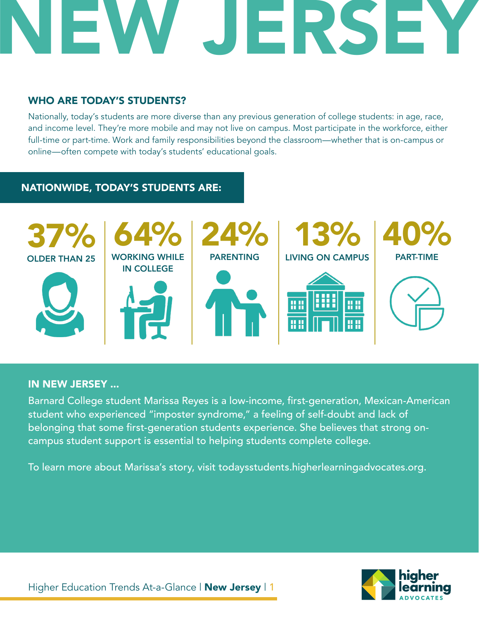## **NERSE**

## WHO ARE TODAY'S STUDENTS?

Nationally, today's students are more diverse than any previous generation of college students: in age, race, and income level. They're more mobile and may not live on campus. Most participate in the workforce, either full-time or part-time. Work and family responsibilities beyond the classroom—whether that is on-campus or online—often compete with today's students' educational goals.

## NATIONWIDE, TODAY'S STUDENTS ARE:



## IN NEW JERSEY ...

Barnard College student Marissa Reyes is a low-income, first-generation, Mexican-American student who experienced "imposter syndrome," a feeling of self-doubt and lack of belonging that some first-generation students experience. She believes that strong oncampus student support is essential to helping students complete college.

To learn more about Marissa's story, visit todaysstudents.higherlearningadvocates.org.

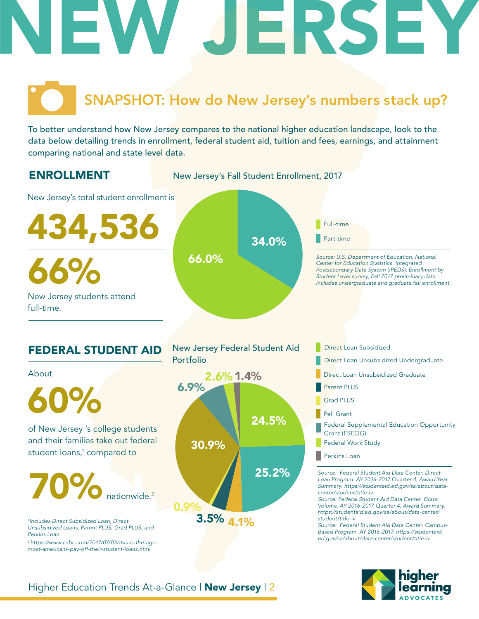# NEW JERSEY

## SNAPSHOT: How do New Jersey's numbers stack up?

To better understand how New Jersey compares to the national higher education landscape, look to the data below detailing trends in enrollment, federal student aid, tuition and fees, earnings, and attainment comparing national and state level data.





## Higher Education Trends At-a-Glance | New Jersey | 2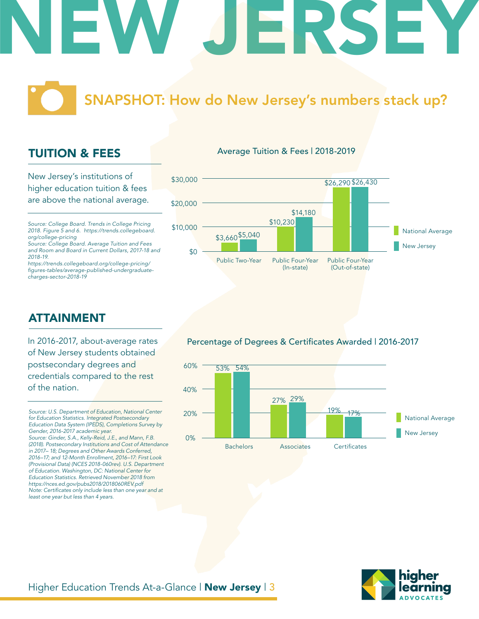# NEW JERSEY

## SNAPSHOT: How do New Jersey's numbers stack up?

## TUITION & FEES

New Jersey's institutions of higher education tuition & fees are above the national average.

*Source: College Board. Trends in College Pricing 2018. Figure 5 and 6. https://trends.collegeboard. org/college-pricing*

*Source: College Board. Average Tuition and Fees and Room and Board in Current Dollars, 2017-18 and 2018-19.*

*https://trends.collegeboard.org/college-pricing/* figures-tables/average-published-undergraduate*charges-sector-2018-19*

## ATTAINMENT

In 2016-2017, about-average rates of New Jersey students obtained postsecondary degrees and credentials compared to the rest of the nation.

*Source: U.S. Department of Education, National Center for Education Statistics. Integrated Postsecondary Education Data System (IPEDS), Completions Survey by Gender, 2016-2017 academic year. Source: Ginder, S.A., Kelly-Reid, J.E., and Mann, F.B. (2018). Postsecondary Institutions and Cost of Attendance in 2017– 18; Degrees and Other Awards Conferred, 2016–17; and 12-Month Enrollment, 2016–17: First Look (Provisional Data) (NCES 2018-060rev). U.S. Department of Education. Washington, DC: National Center for Education Statistics. Retrieved November 2018 from https://nces.ed.gov/pubs2018/2018060REV.pdf* Note: Certificates only include less than one year and at *least one year but less than 4 years.* 

## Average Tuition & Fees | 2018-2019



Percentage of Degrees & Certificates Awarded | 2016-2017



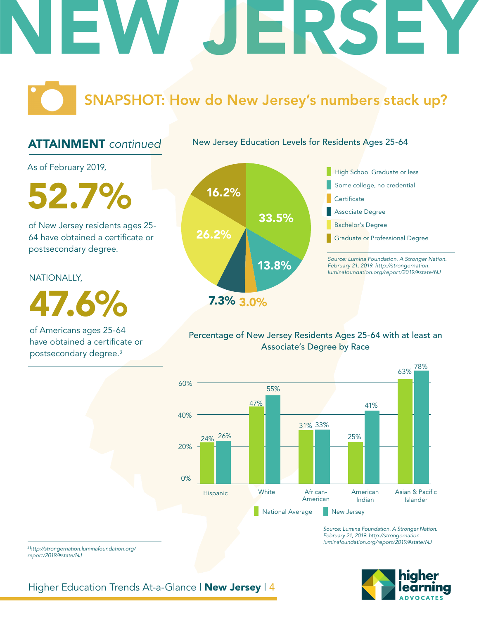## ERSE

SNAPSHOT: How do New Jersey's numbers stack up?

## ATTAINMENT *continued*

New Jersey Education Levels for Residents Ages 25-64

As of February 2019,

16.2% 52.7%

of New Jersey residents ages 25- 64 have obtained a certificate or postsecondary degree.

## NATIONALLY,

47.6%

of Americans ages 25-64 have obtained a certificate or postsecondary degree.3





## Percentage of New Jersey Residents Ages 25-64 with at least an Associate's Degree by Race



*Source: Lumina Foundation. A Stronger Nation. February 21, 2019. http://strongernation. luminafoundation.org/report/2019/#state/NJ*



<sup>3</sup>*http://strongernation.luminafoundation.org/ report/2019/#state/NJ*

Higher Education Trends At-a-Glance | New Jersey | 4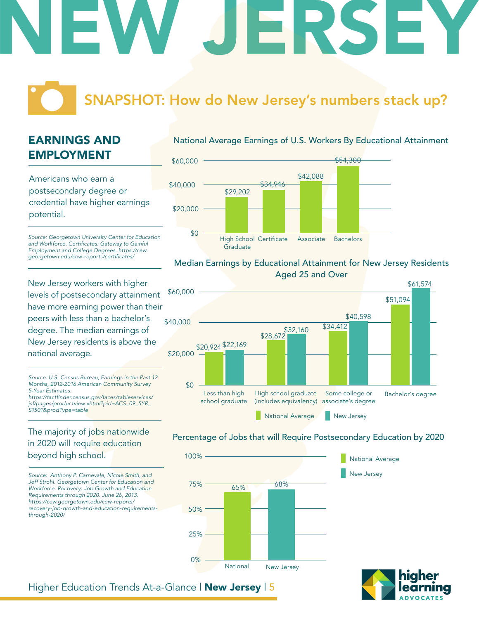# NEW JERSEY

## SNAPSHOT: How do New Jersey's numbers stack up?

## EARNINGS AND EMPLOYMENT

Americans who earn a postsecondary degree or credential have higher earnings potential.

*Source: Georgetown University Center for Education*  and Workforce. Certificates: Gateway to Gainful *Employment and College Degrees. https://cew.* georgetown.edu/cew-reports/certificates/

New Jersey workers with higher levels of postsecondary attainment have more earning power than their peers with less than a bachelor's degree. The median earnings of New Jersey residents is above the national average.

*Source: U.S. Census Bureau, Earnings in the Past 12 Months, 2012-2016 American Community Survey 5-Year Estimates.*

https://factfinder.census.gov/faces/tableservices/ *jsf/pages/productview.xhtml?pid=ACS\_09\_5YR\_ S1501&prodType=table*

## The majority of jobs nationwide in 2020 will require education beyond high school.

*Source: Anthony P. Carnevale, Nicole Smith, and Jeff Strohl. Georgetown Center for Education and Workforce. Recovery: Job Growth and Education Requirements through 2020. June 26, 2013. https://cew.georgetown.edu/cew-reports/ recovery-job-growth-and-education-requirementsthrough-2020/*

## National Average Earnings of U.S. Workers By Educational Attainment



### Median Earnings by Educational Attainment for New Jersey Residents Aged 25 and Over



## Percentage of Jobs that will Require Postsecondary Education by 2020





## Higher Education Trends At-a-Glance | New Jersey | 5